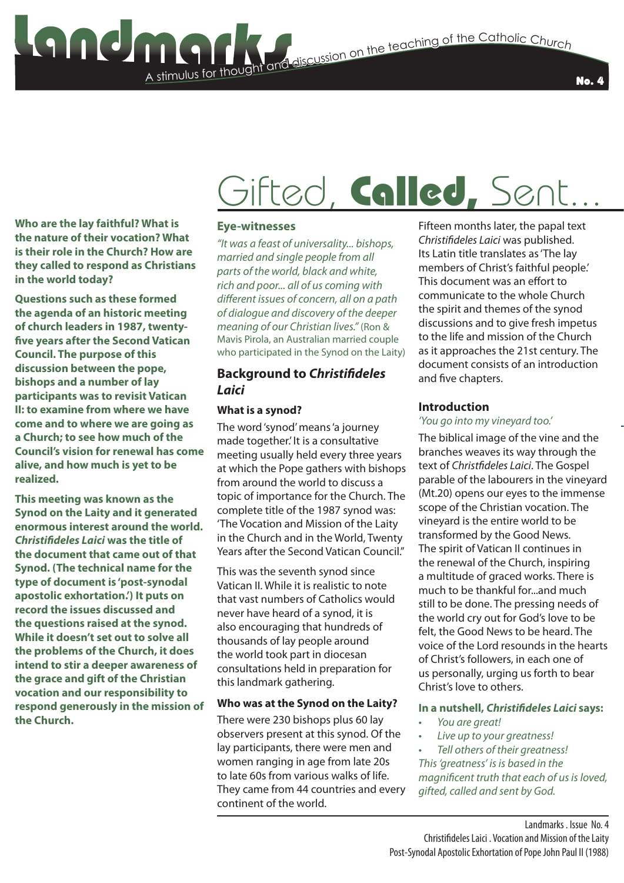### A stimulus for thought **Stimulus for the Catholic Church**<br>The teaching of the Catholic Church

**Who are the lay faithful? What is the nature of their vocation? What is their role in the Church? How are they called to respond as Christians in the world today?**

**Questions such as these formed the agenda of an historic meeting of church leaders in 1987, twentyfive years after the Second Vatican Council. The purpose of this discussion between the pope, bishops and a number of lay participants was to revisit Vatican II: to examine from where we have come and to where we are going as a Church; to see how much of the Council's vision for renewal has come alive, and how much is yet to be realized.**

**This meeting was known as the Synod on the Laity and it generated enormous interest around the world.**  *Christifideles Laici* **was the title of the document that came out of that Synod. (The technical name for the type of document is 'post-synodal apostolic exhortation.') It puts on record the issues discussed and the questions raised at the synod. While it doesn't set out to solve all the problems of the Church, it does intend to stir a deeper awareness of the grace and gift of the Christian vocation and our responsibility to respond generously in the mission of the Church.**

## Gifted, Called, Sent...

### **Eye-witnesses**

*"It was a feast of universality... bishops, married and single people from all parts of the world, black and white, rich and poor... all of us coming with different issues of concern, all on a path of dialogue and discovery of the deeper meaning of our Christian lives."* (Ron & Mavis Pirola, an Australian married couple who participated in the Synod on the Laity)

### **Background to** *Christifideles Laici*

### **What is a synod?**

The word 'synod' means 'a journey made together.' It is a consultative meeting usually held every three years at which the Pope gathers with bishops from around the world to discuss a topic of importance for the Church. The complete title of the 1987 synod was: 'The Vocation and Mission of the Laity in the Church and in the World, Twenty Years after the Second Vatican Council."

This was the seventh synod since Vatican II. While it is realistic to note that vast numbers of Catholics would never have heard of a synod, it is also encouraging that hundreds of thousands of lay people around the world took part in diocesan consultations held in preparation for this landmark gathering.

### **Who was at the Synod on the Laity?**

There were 230 bishops plus 60 lay observers present at this synod. Of the lay participants, there were men and women ranging in age from late 20s to late 60s from various walks of life. They came from 44 countries and every continent of the world.

Fifteen months later, the papal text *Christifideles Laici* was published. Its Latin title translates as 'The lay members of Christ's faithful people.' This document was an effort to communicate to the whole Church the spirit and themes of the synod discussions and to give fresh impetus to the life and mission of the Church as it approaches the 21st century. The document consists of an introduction and five chapters.

### **Introduction**

### *'You go into my vineyard too.'*

The biblical image of the vine and the branches weaves its way through the text of *Christfideles Laici*. The Gospel parable of the labourers in the vineyard (Mt.20) opens our eyes to the immense scope of the Christian vocation. The vineyard is the entire world to be transformed by the Good News. The spirit of Vatican II continues in the renewal of the Church, inspiring a multitude of graced works. There is much to be thankful for...and much still to be done. The pressing needs of the world cry out for God's love to be felt, the Good News to be heard. The voice of the Lord resounds in the hearts of Christ's followers, in each one of us personally, urging us forth to bear Christ's love to others.

### **In a nutshell,** *Christifideles Laici* **says:**

- *• You are great!*
- *• Live up to your greatness!*

*• Tell others of their greatness! This 'greatness' is is based in the magnificent truth that each of us is loved, gifted, called and sent by God.*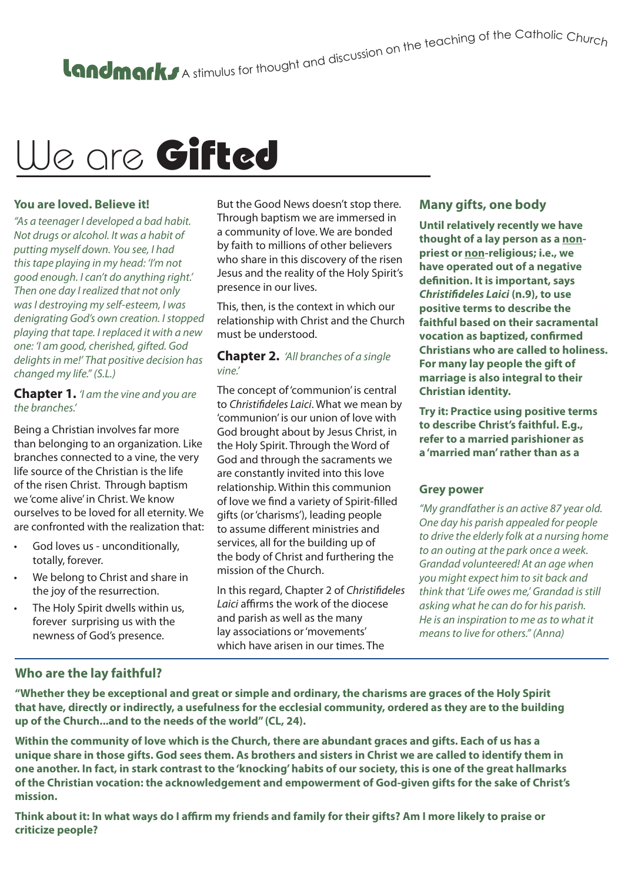## We are Gifted

### **You are loved. Believe it!**

*"As a teenager I developed a bad habit. Not drugs or alcohol. It was a habit of putting myself down. You see, I had this tape playing in my head: 'I'm not good enough. I can't do anything right.' Then one day I realized that not only was I destroying my self-esteem, I was denigrating God's own creation. I stopped playing that tape. I replaced it with a new one: 'I am good, cherished, gifted. God delights in me!' That positive decision has changed my life." (S.L.)* 

**Chapter 1.** *'I am the vine and you are the branches.'*

Being a Christian involves far more than belonging to an organization. Like branches connected to a vine, the very life source of the Christian is the life of the risen Christ. Through baptism we 'come alive' in Christ. We know ourselves to be loved for all eternity. We are confronted with the realization that:

- God loves us unconditionally, totally, forever.
- We belong to Christ and share in the joy of the resurrection.
- The Holy Spirit dwells within us, forever surprising us with the newness of God's presence.

But the Good News doesn't stop there. Through baptism we are immersed in a community of love. We are bonded by faith to millions of other believers who share in this discovery of the risen Jesus and the reality of the Holy Spirit's presence in our lives.

This, then, is the context in which our relationship with Christ and the Church must be understood.

### **Chapter 2.** *'All branches of a single vine.'*

The concept of 'communion' is central to *Christifideles Laici*. What we mean by 'communion' is our union of love with God brought about by Jesus Christ, in the Holy Spirit. Through the Word of God and through the sacraments we are constantly invited into this love relationship. Within this communion of love we find a variety of Spirit-filled gifts (or 'charisms'), leading people to assume different ministries and services, all for the building up of the body of Christ and furthering the mission of the Church.

In this regard, Chapter 2 of *Christifideles Laici* affirms the work of the diocese and parish as well as the many lay associations or 'movements' which have arisen in our times. The

### **Many gifts, one body**

**Until relatively recently we have thought of a lay person as a nonpriest or non-religious; i.e., we have operated out of a negative definition. It is important, says**  *Christifideles Laici* **(n.9), to use positive terms to describe the faithful based on their sacramental vocation as baptized, confirmed Christians who are called to holiness. For many lay people the gift of marriage is also integral to their Christian identity.**

**Try it: Practice using positive terms to describe Christ's faithful. E.g., refer to a married parishioner as a 'married man' rather than as a** 

### **Grey power**

*"My grandfather is an active 87 year old. One day his parish appealed for people to drive the elderly folk at a nursing home to an outing at the park once a week. Grandad volunteered! At an age when you might expect him to sit back and think that 'Life owes me,' Grandad is still asking what he can do for his parish. He is an inspiration to me as to what it means to live for others." (Anna)* 

### **Who are the lay faithful?**

**"Whether they be exceptional and great or simple and ordinary, the charisms are graces of the Holy Spirit that have, directly or indirectly, a usefulness for the ecclesial community, ordered as they are to the building up of the Church...and to the needs of the world" (CL, 24).**

**Within the community of love which is the Church, there are abundant graces and gifts. Each of us has a unique share in those gifts. God sees them. As brothers and sisters in Christ we are called to identify them in one another. In fact, in stark contrast to the 'knocking' habits of our society, this is one of the great hallmarks of the Christian vocation: the acknowledgement and empowerment of God-given gifts for the sake of Christ's mission.**

**Think about it: In what ways do I affirm my friends and family for their gifts? Am I more likely to praise or criticize people?**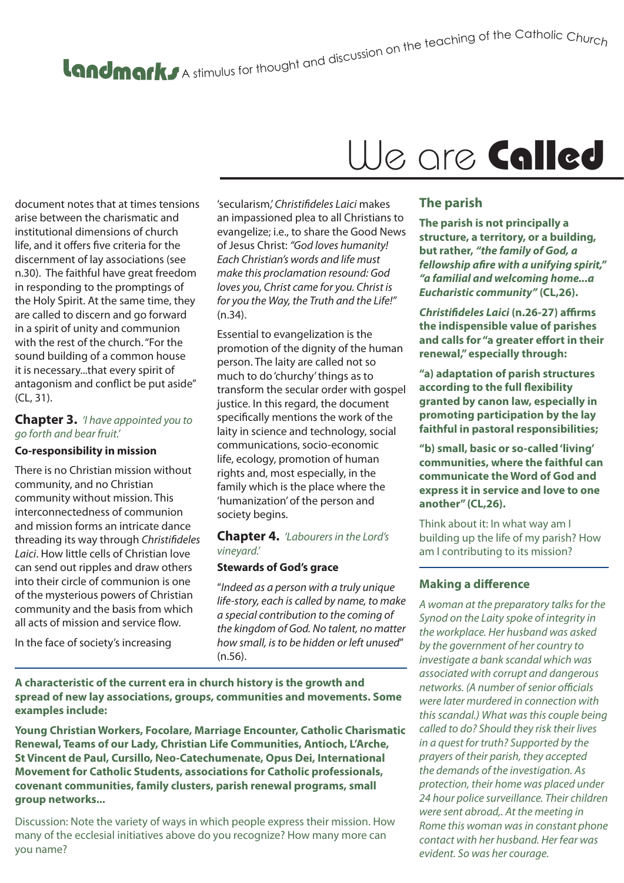# A stimulus for thought and discussion on the teaching of the Catholic Churc<sub>h</sub>

document notes that at times tensions arise between the charismatic and institutional dimensions of church life, and it offers five criteria for the discernment of lay associations (see n.30). The faithful have great freedom in responding to the promptings of the Holy Spirit. At the same time, they are called to discern and go forward in a spirit of unity and communion with the rest of the church. "For the sound building of a common house it is necessary...that every spirit of antagonism and conflict be put aside" (CL, 31).

### **Chapter 3.** *'I have appointed you to go forth and bear fruit.'*

### **Co-responsibility in mission**

There is no Christian mission without community, and no Christian community without mission. This interconnectedness of communion and mission forms an intricate dance threading its way through *Christifideles Laici*. How little cells of Christian love can send out ripples and draw others into their circle of communion is one of the mysterious powers of Christian community and the basis from which all acts of mission and service flow.

In the face of society's increasing

'secularism,' *Christifideles Laici* makes an impassioned plea to all Christians to evangelize; i.e., to share the Good News of Jesus Christ: *"God loves humanity! Each Christian's words and life must make this proclamation resound: God loves you, Christ came for you. Christ is for you the Way, the Truth and the Life!"*  (n.34).

Essential to evangelization is the promotion of the dignity of the human person. The laity are called not so much to do 'churchy' things as to transform the secular order with gospel justice. In this regard, the document specifically mentions the work of the laity in science and technology, social communications, socio-economic life, ecology, promotion of human rights and, most especially, in the family which is the place where the 'humanization' of the person and society begins.

#### **Chapter 4.** *'Labourers in the Lord's vineyard.'*

### **Stewards of God's grace**

"*Indeed as a person with a truly unique life-story, each is called by name, to make a special contribution to the coming of the kingdom of God. No talent, no matter how small, is to be hidden or left unused*" (n.56).

**A characteristic of the current era in church history is the growth and spread of new lay associations, groups, communities and movements. Some examples include:**

**Young Christian Workers, Focolare, Marriage Encounter, Catholic Charismatic Renewal, Teams of our Lady, Christian Life Communities, Antioch, L'Arche, St Vincent de Paul, Cursillo, Neo-Catechumenate, Opus Dei, International Movement for Catholic Students, associations for Catholic professionals, covenant communities, family clusters, parish renewal programs, small group networks...**

Discussion: Note the variety of ways in which people express their mission. How many of the ecclesial initiatives above do you recognize? How many more can you name?

### We are Called

### **The parish**

**The parish is not principally a structure, a territory, or a building, but rather,** *"the family of God, a fellowship afire with a unifying spirit," "a familial and welcoming home...a Eucharistic community"* **(CL,26).**

*Christifideles Laici* **(n.26-27) affirms the indispensible value of parishes and calls for "a greater effort in their renewal," especially through:**

**"a) adaptation of parish structures according to the full flexibility granted by canon law, especially in promoting participation by the lay faithful in pastoral responsibilities;**

**"b) small, basic or so-called 'living' communities, where the faithful can communicate the Word of God and express it in service and love to one another" (CL,26).**

Think about it: In what way am I building up the life of my parish? How am I contributing to its mission?

### **Making a difference**

*A woman at the preparatory talks for the Synod on the Laity spoke of integrity in the workplace. Her husband was asked by the government of her country to investigate a bank scandal which was associated with corrupt and dangerous networks. (A number of senior officials were later murdered in connection with this scandal.) What was this couple being called to do? Should they risk their lives in a quest for truth? Supported by the prayers of their parish, they accepted the demands of the investigation. As protection, their home was placed under 24 hour police surveillance. Their children were sent abroad,. At the meeting in Rome this woman was in constant phone contact with her husband. Her fear was evident. So was her courage.*